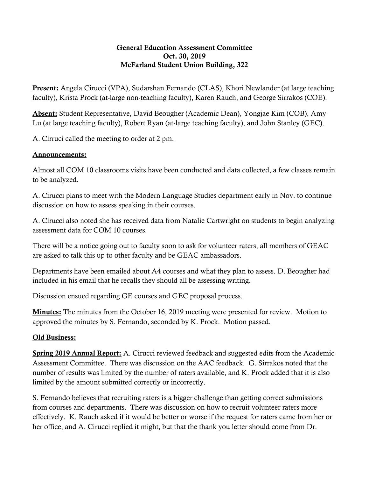## General Education Assessment Committee Oct. 30, 2019 McFarland Student Union Building, 322

**Present:** Angela Cirucci (VPA), Sudarshan Fernando (CLAS), Khori Newlander (at large teaching faculty), Krista Prock (at-large non-teaching faculty), Karen Rauch, and George Sirrakos (COE).

Absent: Student Representative, David Beougher (Academic Dean), Yongjae Kim (COB), Amy Lu (at large teaching faculty), Robert Ryan (at-large teaching faculty), and John Stanley (GEC).

A. Cirruci called the meeting to order at 2 pm.

## Announcements:

Almost all COM 10 classrooms visits have been conducted and data collected, a few classes remain to be analyzed.

A. Cirucci plans to meet with the Modern Language Studies department early in Nov. to continue discussion on how to assess speaking in their courses.

A. Cirucci also noted she has received data from Natalie Cartwright on students to begin analyzing assessment data for COM 10 courses.

There will be a notice going out to faculty soon to ask for volunteer raters, all members of GEAC are asked to talk this up to other faculty and be GEAC ambassadors.

Departments have been emailed about A4 courses and what they plan to assess. D. Beougher had included in his email that he recalls they should all be assessing writing.

Discussion ensued regarding GE courses and GEC proposal process.

Minutes: The minutes from the October 16, 2019 meeting were presented for review. Motion to approved the minutes by S. Fernando, seconded by K. Prock. Motion passed.

## Old Business:

**Spring 2019 Annual Report:** A. Cirucci reviewed feedback and suggested edits from the Academic Assessment Committee. There was discussion on the AAC feedback. G. Sirrakos noted that the number of results was limited by the number of raters available, and K. Prock added that it is also limited by the amount submitted correctly or incorrectly.

S. Fernando believes that recruiting raters is a bigger challenge than getting correct submissions from courses and departments. There was discussion on how to recruit volunteer raters more effectively. K. Rauch asked if it would be better or worse if the request for raters came from her or her office, and A. Cirucci replied it might, but that the thank you letter should come from Dr.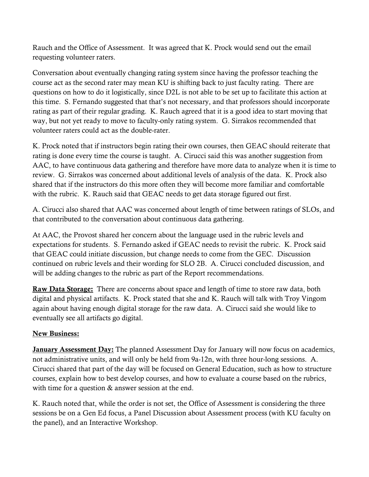Rauch and the Office of Assessment. It was agreed that K. Prock would send out the email requesting volunteer raters.

Conversation about eventually changing rating system since having the professor teaching the course act as the second rater may mean KU is shifting back to just faculty rating. There are questions on how to do it logistically, since D2L is not able to be set up to facilitate this action at this time. S. Fernando suggested that that's not necessary, and that professors should incorporate rating as part of their regular grading. K. Rauch agreed that it is a good idea to start moving that way, but not yet ready to move to faculty-only rating system. G. Sirrakos recommended that volunteer raters could act as the double-rater.

K. Prock noted that if instructors begin rating their own courses, then GEAC should reiterate that rating is done every time the course is taught. A. Cirucci said this was another suggestion from AAC, to have continuous data gathering and therefore have more data to analyze when it is time to review. G. Sirrakos was concerned about additional levels of analysis of the data. K. Prock also shared that if the instructors do this more often they will become more familiar and comfortable with the rubric. K. Rauch said that GEAC needs to get data storage figured out first.

A. Cirucci also shared that AAC was concerned about length of time between ratings of SLOs, and that contributed to the conversation about continuous data gathering.

At AAC, the Provost shared her concern about the language used in the rubric levels and expectations for students. S. Fernando asked if GEAC needs to revisit the rubric. K. Prock said that GEAC could initiate discussion, but change needs to come from the GEC. Discussion continued on rubric levels and their wording for SLO 2B. A. Cirucci concluded discussion, and will be adding changes to the rubric as part of the Report recommendations.

**Raw Data Storage:** There are concerns about space and length of time to store raw data, both digital and physical artifacts. K. Prock stated that she and K. Rauch will talk with Troy Vingom again about having enough digital storage for the raw data. A. Cirucci said she would like to eventually see all artifacts go digital.

## New Business:

**January Assessment Day:** The planned Assessment Day for January will now focus on academics, not administrative units, and will only be held from 9a-12n, with three hour-long sessions. A. Cirucci shared that part of the day will be focused on General Education, such as how to structure courses, explain how to best develop courses, and how to evaluate a course based on the rubrics, with time for a question  $&$  answer session at the end.

K. Rauch noted that, while the order is not set, the Office of Assessment is considering the three sessions be on a Gen Ed focus, a Panel Discussion about Assessment process (with KU faculty on the panel), and an Interactive Workshop.